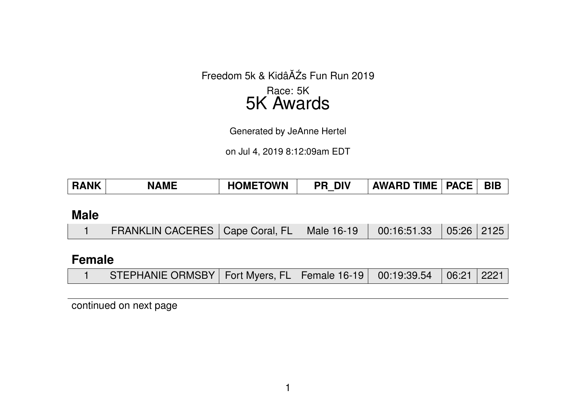Freedom 5k & KidâĂŹs Fun Run 2019

## Race: 5K 5K Awards

Generated by JeAnne Hertel

on Jul 4, 2019 8:12:09am EDT

| <b>RANK</b> | <b>NAME</b> | <b>OMETOWN</b><br>пL. | <b>DIV</b><br>PR | <b>TIME</b><br><b>AWARD</b> | <b>PACE</b> | <b>BIE</b> |
|-------------|-------------|-----------------------|------------------|-----------------------------|-------------|------------|
|-------------|-------------|-----------------------|------------------|-----------------------------|-------------|------------|

## **Male**

|  | FRANKLIN CACERES   Cape Coral, FL   Male 16-19   00:16:51.33   05:26   2125 |  |  |  |  |  |
|--|-----------------------------------------------------------------------------|--|--|--|--|--|
|--|-----------------------------------------------------------------------------|--|--|--|--|--|

## **Female**

|  | STEPHANIE ORMSBY   Fort Myers, FL   Female 16-19   00:19:39.54   06:21   2221 |  |  |  |  |  |
|--|-------------------------------------------------------------------------------|--|--|--|--|--|
|--|-------------------------------------------------------------------------------|--|--|--|--|--|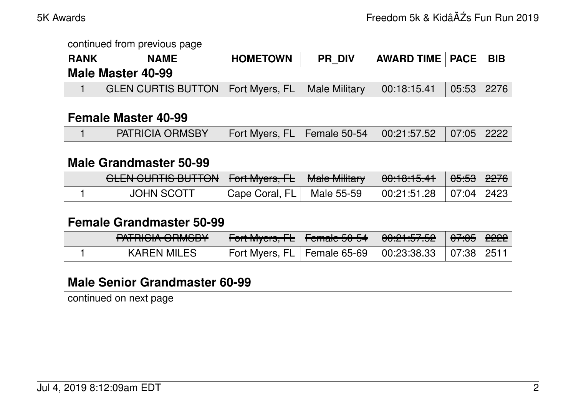| <b>RANK</b>       | <b>NAME</b>                         | <b>HOMETOWN</b> | <b>PR DIV</b> | <b>AWARD TIME   PACE  </b> |                   | <b>BIB</b> |  |  |
|-------------------|-------------------------------------|-----------------|---------------|----------------------------|-------------------|------------|--|--|
| Male Master 40-99 |                                     |                 |               |                            |                   |            |  |  |
|                   | GLEN CURTIS BUTTON   Fort Myers, FL |                 | Male Military | 00:18:15.41                | $05:53 \mid 2276$ |            |  |  |

#### **Female Master 40-99**

|  | <b>PATRICIA ORMSBY</b> | Fort Myers, FL   Female 50-54   00:21:57.52   07:05   2222 |  |  |  |  |
|--|------------------------|------------------------------------------------------------|--|--|--|--|
|--|------------------------|------------------------------------------------------------|--|--|--|--|

#### **Male Grandmaster 50-99**

| <u>CLENI CLIDTIC DI ITTONII.</u><br><u>ULLIV CONTIO DOTTON</u>   TUITIWYCIS, I L | L                           | Mole Military<br><b>TVIGIC IVIIIIIGI V</b> | $0.10.15$ $11$<br>00.10.10. <del>4</del> 1 | <del>05:53</del>   <del>2276</del> |  |
|----------------------------------------------------------------------------------|-----------------------------|--------------------------------------------|--------------------------------------------|------------------------------------|--|
| <b>JOHN SCOTT</b>                                                                | Cape Coral, FL   Male 55-59 |                                            | $00:21:51.28$   07:04   2423               |                                    |  |

#### **Female Grandmaster 50-99**

| DATDIOIA ODMODV<br><u>TATTIJUA UTIMODT</u> | Fort Myers, FL Female 50-54                                | <del>00:21:57.52</del> | <del>07:05</del>   <del>2222</del> |  |
|--------------------------------------------|------------------------------------------------------------|------------------------|------------------------------------|--|
| <b>KAREN MILES</b>                         | Fort Myers, FL   Female 65-69   00:23:38.33   07:38   2511 |                        |                                    |  |

## **Male Senior Grandmaster 60-99**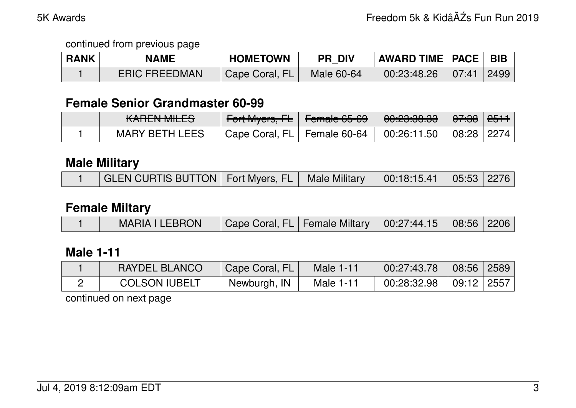| <b>RANK</b> | <b>NAME</b>          | <b>HOMETOWN</b> | <b>PR DIV</b> | AWARD TIME   PACE   BIB |                     |      |
|-------------|----------------------|-----------------|---------------|-------------------------|---------------------|------|
|             | <b>ERIC FREEDMAN</b> | Cape Coral, FL  | Male 60-64    | 00:23:48.26             | $\mid$ 07:41 $\mid$ | 2499 |

#### **Female Senior Grandmaster 60-99**

| $I$ $\Lambda$ $D$ $\Gamma$ $\Lambda$ $I$ $I$ $I$ $II$ $I$ $C$<br><b>MANLIV MILLO</b> | $^{\shortmid}$ Fort Myers, FL $\mid$ Female 65-69 $^{\shortmid}$ | <u>മറ.ഛ.ഛ ഛ</u><br><del>uu.20.00.00</del> | ∣ <del>07:38</del> ∣ <del>2511</del> |  |
|--------------------------------------------------------------------------------------|------------------------------------------------------------------|-------------------------------------------|--------------------------------------|--|
| <b>MARY BETH LEES</b>                                                                | Cape Coral, FL   Female 60-64   00:26:11.50   08:28   2274       |                                           |                                      |  |

## **Male Military**

|  | $\backslash$ GLEN CURTIS BUTTON   Fort Myers, FL   Male Military   00:18:15.41   05:53   2276 |  |  |  |  |  |
|--|-----------------------------------------------------------------------------------------------|--|--|--|--|--|
|--|-----------------------------------------------------------------------------------------------|--|--|--|--|--|

## **Female Miltary**

|  | MARIA I LEBRON $\mid$ Cape Coral, FL   Female Miltary   00:27:44.15   08:56   2206 |  |  |  |  |  |
|--|------------------------------------------------------------------------------------|--|--|--|--|--|
|--|------------------------------------------------------------------------------------|--|--|--|--|--|

## **Male 1-11**

| <b>RAYDEL BLANCO</b> | Cape Coral, FL | Male 1-11 | $00:27:43.78$ 08:56 2589     |  |
|----------------------|----------------|-----------|------------------------------|--|
| <b>COLSON IUBELT</b> | Newburgh, IN   | Male 1-11 | $00:28:32.98$   09:12   2557 |  |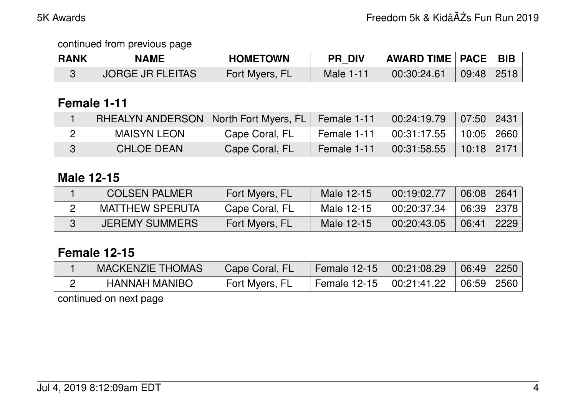| <b>RANK</b> | <b>NAME</b>             | <b>HOMETOWN</b> | <b>PR DIV</b> | <b>AWARD TIME   PACE  </b> |       | <b>BIB</b> |
|-------------|-------------------------|-----------------|---------------|----------------------------|-------|------------|
|             | <b>JORGE JR FLEITAS</b> | Fort Myers, FL  | Male 1-11     | 00:30:24.61                | 09:48 | 2518       |

# **Female 1-11**

| RHEALYN ANDERSON   North Fort Myers, FL   Female 1-11 |                |             | 00:24:19.79 | $\mid$ 07:50 2431      |  |
|-------------------------------------------------------|----------------|-------------|-------------|------------------------|--|
| MAISYN LEON                                           | Cape Coral, FL | Female 1-11 | 00:31:17.55 | $ $ 10:05 $ $ 2660 $ $ |  |
| <b>CHLOE DEAN</b>                                     | Cape Coral, FL | Female 1-11 | 00:31:58.55 | $10:18$   2171         |  |

# **Male 12-15**

| <b>COLSEN PALMER</b>   | Fort Myers, FL | Male 12-15 | 00:19:02.77 | 06:08      | 2641 |
|------------------------|----------------|------------|-------------|------------|------|
| <b>MATTHEW SPERUTA</b> | Cape Coral, FL | Male 12-15 | 00:20:37.34 | 06:39 2378 |      |
| <b>JEREMY SUMMERS</b>  | Fort Myers, FL | Male 12-15 | 00:20:43.05 | 06:41 2229 |      |

# **Female 12-15**

| <b>MACKENZIE THOMAS</b> | Cape Coral, FL | Female 12-15   00:21:08.29   06:49   2250 |  |
|-------------------------|----------------|-------------------------------------------|--|
| HANNAH MANIBO           | Fort Myers, FL | Female 12-15   00:21:41.22   06:59   2560 |  |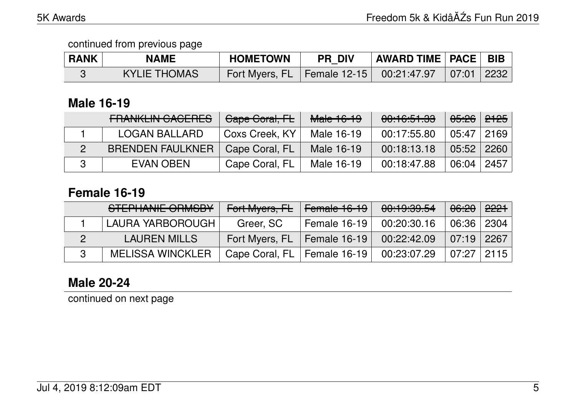| <b>RANK</b> | <b>NAME</b>         | <b>HOMETOWN</b>                                            | <b>PR DIV</b> | AWARD TIME   PACE | BIB |
|-------------|---------------------|------------------------------------------------------------|---------------|-------------------|-----|
|             | <b>KYLIE THOMAS</b> | Fort Myers, FL   Female 12-15   00:21:47.97   07:01   2232 |               |                   |     |

## **Male 16-19**

| <u>EDANIZI IN OAOEDEQ</u><br><b>MANITEIN UAULTILU</b> | Cape Coral, FL | Male 16-19 | 00:16:51.33 | <del>05:26</del> | <del>2125</del> |
|-------------------------------------------------------|----------------|------------|-------------|------------------|-----------------|
| <b>LOGAN BALLARD</b>                                  | Coxs Creek, KY | Male 16-19 | 00:17:55.80 | 05:47            | 2169            |
| <b>BRENDEN FAULKNER</b>                               | Cape Coral, FL | Male 16-19 | 00:18:13.18 | 05:52            | 2260            |
| EVAN OBEN                                             | Cape Coral, FL | Male 16-19 | 00:18:47.88 | 06:04            | 2457            |

## **Female 16-19**

| STEPHANIE ORMSBY        | Fort Myers, FL                | Female 16-19 | 00:19:39.54 | 06:20          | 2221 |
|-------------------------|-------------------------------|--------------|-------------|----------------|------|
| LAURA YARBOROUGH        | Greer, SC                     | Female 16-19 | 00:20:30.16 | 06:36   2304   |      |
| <b>LAUREN MILLS</b>     | Fort Myers, FL   Female 16-19 |              | 00:22:42.09 | 07:19          | 2267 |
| <b>MELISSA WINCKLER</b> | Cape Coral, FL   Female 16-19 |              | 00:23:07.29 | $07:27$   2115 |      |

# **Male 20-24**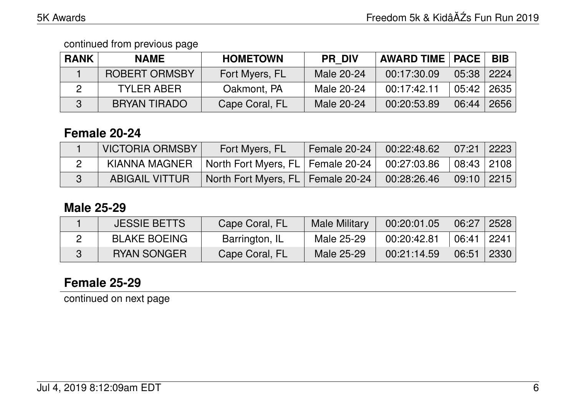continued from previous page

| <b>RANK</b> | <b>NAME</b>          | <b>HOMETOWN</b> | <b>PR DIV</b> | <b>AWARD TIME   PACE  </b> |       | <b>BIB</b> |
|-------------|----------------------|-----------------|---------------|----------------------------|-------|------------|
|             | <b>ROBERT ORMSBY</b> | Fort Myers, FL  | Male 20-24    | 00:17:30.09                | 05:38 | 2224       |
|             | <b>TYLER ABER</b>    | Oakmont, PA     | Male 20-24    | 00:17:42.11                | 05:42 | 2635       |
|             | <b>BRYAN TIRADO</b>  | Cape Coral, FL  | Male 20-24    | 00:20:53.89                | 06:44 | 2656       |

## **Female 20-24**

| <b>VICTORIA ORMSBY</b> | Fort Myers, FL                                                   | <b>Female 20-24</b> | $00:22:48.62$ 07:21 2223 |  |
|------------------------|------------------------------------------------------------------|---------------------|--------------------------|--|
| KIANNA MAGNER          | North Fort Myers, FL   Female 20-24   00:27:03.86   08:43   2108 |                     |                          |  |
| <b>ABIGAIL VITTUR</b>  | North Fort Myers, FL   Female 20-24   00:28:26.46   09:10   2215 |                     |                          |  |

#### **Male 25-29**

| <b>JESSIE BETTS</b> | Cape Coral, FL | Male Military | 00:20:01.05 | 06:27 | 2528 |
|---------------------|----------------|---------------|-------------|-------|------|
| <b>BLAKE BOEING</b> | Barrington, IL | Male 25-29    | 00:20:42.81 | 06:41 | 2241 |
| <b>RYAN SONGER</b>  | Cape Coral, FL | Male 25-29    | 00:21:14.59 | 06:51 | 2330 |

## **Female 25-29**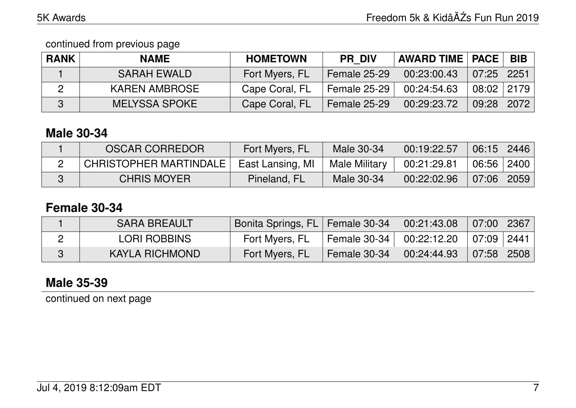continued from previous page

| <b>RANK</b> | <b>NAME</b>          | <b>HOMETOWN</b> | <b>PR DIV</b>       | <b>AWARD TIME   PACE  </b> |                | <b>BIB</b> |
|-------------|----------------------|-----------------|---------------------|----------------------------|----------------|------------|
|             | <b>SARAH EWALD</b>   | Fort Myers, FL  | Female 25-29        | 00:23:00.43                | $07:25$ 2251   |            |
|             | <b>KAREN AMBROSE</b> | Cape Coral, FL  | <b>Female 25-29</b> | 00:24:54.63                | $08:02$ 2179   |            |
| -3          | <b>MELYSSA SPOKE</b> | Cape Coral, FL  | Female $25-29$      | 00:29:23.72                | $09:28$   2072 |            |

#### **Male 30-34**

| <b>OSCAR CORREDOR</b>                     | Fort Myers, FL | <b>Male 30-34</b> | 00:19:22.57 | $06:15$ 2446 |      |
|-------------------------------------------|----------------|-------------------|-------------|--------------|------|
| CHRISTOPHER MARTINDALE   East Lansing, MI |                | Male Military     | 00:21:29.81 | 06:56 2400   |      |
| <b>CHRIS MOYER</b>                        | Pineland, FL   | Male 30-34        | 00:22:02.96 | 07:06        | 2059 |

## **Female 30-34**

| <b>SARA BREAULT</b> | Bonita Springs, FL   Female 30-34 |                     | $\vert$ 00:21:43.08 | $\mid$ 07:00 $\mid$ 2367 $\mid$ |  |
|---------------------|-----------------------------------|---------------------|---------------------|---------------------------------|--|
| LORI ROBBINS        | Fort Myers, FL                    | <b>Female 30-34</b> | 00:22:12.20         | 07:09 2441                      |  |
| KAYLA RICHMOND      | Fort Myers, FL                    | Female 30-34        | 00:24:44.93         | 07:58 2508                      |  |

# **Male 35-39**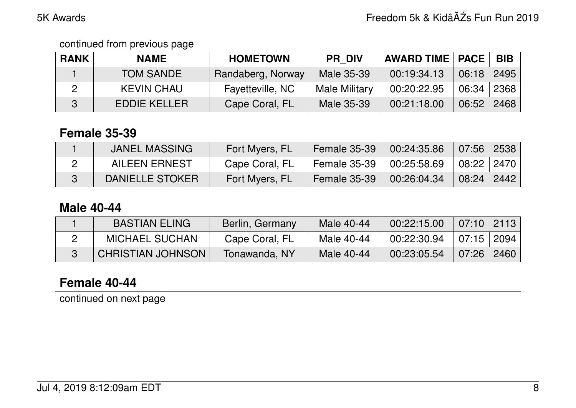continued from previous page

| <b>RANK</b> | <b>NAME</b>       | <b>HOMETOWN</b>   | <b>PR DIV</b> | <b>AWARD TIME   PACE</b> |       | BIB  |
|-------------|-------------------|-------------------|---------------|--------------------------|-------|------|
|             | <b>TOM SANDE</b>  | Randaberg, Norway | Male 35-39    | 00:19:34.13              | 06:18 | 2495 |
|             | <b>KEVIN CHAU</b> | Fayetteville, NC  | Male Military | 00:20:22.95              | 06:34 | 2368 |
|             | EDDIE KELLER      | Cape Coral, FL    | Male 35-39    | 00:21:18.00              | 06:52 | 2468 |

#### **Female 35-39**

| JANEL MASSING        | Fort Myers, FL | Female 35-39          | 00:24:35.86 | 07:56   2538   |  |
|----------------------|----------------|-----------------------|-------------|----------------|--|
| <b>AILEEN ERNEST</b> | Cape Coral, FL | <b>Female 35-39  </b> | 00:25:58.69 | $08:22$ 2470   |  |
| DANIELLE STOKER      | Fort Myers, FL | Female 35-39          | 00:26:04.34 | $08:24$   2442 |  |

#### **Male 40-44**

| <b>BASTIAN ELING</b>     | Berlin, Germany | Male 40-44 | 00:22:15.00 | $07:10$   2113 |  |
|--------------------------|-----------------|------------|-------------|----------------|--|
| <b>MICHAEL SUCHAN</b>    | Cape Coral, FL  | Male 40-44 | 00:22:30.94 | $07:15$   2094 |  |
| <b>CHRISTIAN JOHNSON</b> | Tonawanda, NY   | Male 40-44 | 00:23:05.54 | $07:26$   2460 |  |

## **Female 40-44**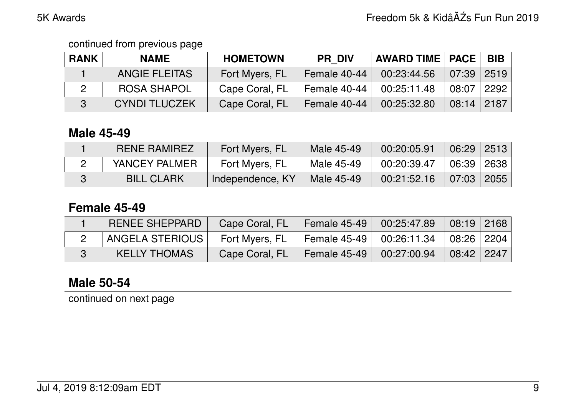continued from previous page

| <b>RANK</b> | <b>NAME</b>          | <b>HOMETOWN</b> | <b>PR DIV</b> | <b>AWARD TIME   PACE</b> |       | <b>BIB</b> |
|-------------|----------------------|-----------------|---------------|--------------------------|-------|------------|
|             | <b>ANGIE FLEITAS</b> | Fort Myers, FL  | Female 40-44  | 00:23:44.56              | 07:39 | 2519       |
|             | <b>ROSA SHAPOL</b>   | Cape Coral, FL  | Female 40-44  | 00:25:11.48              | 08:07 | 2292       |
|             | <b>CYNDI TLUCZEK</b> | Cape Coral, FL  | Female 40-44  | 00:25:32.80              | 08:14 | 2187       |

## **Male 45-49**

| <b>RENE RAMIREZ</b> | Fort Myers, FL   | Male 45-49 | 00:20:05.91 | 06:29 2513     |          |
|---------------------|------------------|------------|-------------|----------------|----------|
| YANCEY PALMER       | Fort Myers, FL   | Male 45-49 | 00:20:39.47 | 06:39          | ∣ 2638 ∣ |
| <b>BILL CLARK</b>   | Independence, KY | Male 45-49 | 00:21:52.16 | $07:03$   2055 |          |

## **Female 45-49**

| <b>RENEE SHEPPARD</b> | Cape Coral, FL | Female 45-49                              | 00:25:47.89 | 08:19 2168 |  |
|-----------------------|----------------|-------------------------------------------|-------------|------------|--|
| ANGELA STERIOUS       | Fort Myers, FL | Female 45-49   00:26:11.34   08:26   2204 |             |            |  |
| <b>KELLY THOMAS</b>   | Cape Coral, FL | Female 45-49                              | 00:27:00.94 | 08:42 2247 |  |

## **Male 50-54**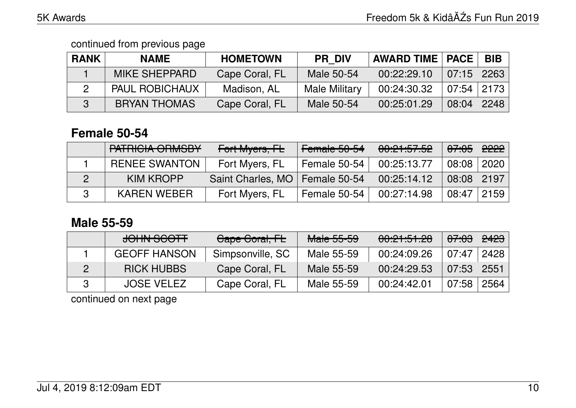continued from previous page

| <b>RANK</b> | <b>NAME</b>           | <b>HOMETOWN</b> | <b>PR DIV</b>        | <b>AWARD TIME   PACE</b> |                | <b>BIB</b> |
|-------------|-----------------------|-----------------|----------------------|--------------------------|----------------|------------|
|             | <b>MIKE SHEPPARD</b>  | Cape Coral, FL  | Male 50-54           | 00:22:29.10              | $07:15$ 2263   |            |
|             | <b>PAUL ROBICHAUX</b> | Madison, AL     | <b>Male Military</b> | 00:24:30.32              | $07:54$   2173 |            |
| 3           | <b>BRYAN THOMAS</b>   | Cape Coral, FL  | Male 50-54           | 00:25:01.29              | 08:04          | 2248       |

## **Female 50-54**

| PATRICIA ORMSBY      | Fort Myers, FL                   | Female 50-54 | 00:21:57.52 | <del>07:05</del> | <del>2222</del>    |
|----------------------|----------------------------------|--------------|-------------|------------------|--------------------|
| <b>RENEE SWANTON</b> | Fort Myers, FL                   | Female 50-54 | 00:25:13.77 | 08:08            | 2020               |
| <b>KIM KROPP</b>     | Saint Charles, MO   Female 50-54 |              | 00:25:14.12 | 08:08            | 2197               |
| <b>KAREN WEBER</b>   | Fort Myers, FL                   | Female 50-54 | 00:27:14.98 | 08:47            | $\mid$ 2159 $\mid$ |

## **Male 55-59**

| JOHN SCOTT          | Gape Goral, FL   | <del>Male 55-59</del> | 00:21:51.28 | <del>07:03</del> | <del>2423</del> |
|---------------------|------------------|-----------------------|-------------|------------------|-----------------|
| <b>GEOFF HANSON</b> | Simpsonville, SC | Male 55-59            | 00:24:09.26 | 07:47            | 2428            |
| <b>RICK HUBBS</b>   | Cape Coral, FL   | Male 55-59            | 00:24:29.53 | 07:53            | 2551            |
| <b>JOSE VELEZ</b>   | Cape Coral, FL   | Male 55-59            | 00:24:42.01 | 07:58            | 2564            |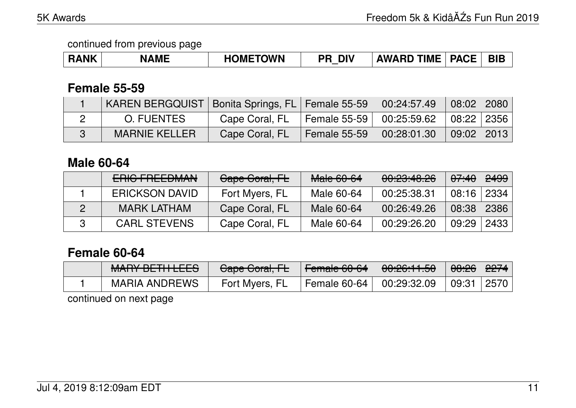| RANK | <b>NAME</b> | <b>HOMETOWN</b> | <b>DIV</b><br>PR | <b>TIME</b><br><b>AWARD</b> | <b>PACE</b> | <b>BIB</b> |
|------|-------------|-----------------|------------------|-----------------------------|-------------|------------|
|------|-------------|-----------------|------------------|-----------------------------|-------------|------------|

#### **Female 55-59**

| KAREN BERGQUIST   Bonita Springs, FL   Female 55-59 |                |                     | 00:24:57.49                                                                               | 08:02 2080   |  |
|-----------------------------------------------------|----------------|---------------------|-------------------------------------------------------------------------------------------|--------------|--|
| O. FUENTES                                          | Cape Coral, FL | Female 55-59        | $\begin{array}{ c c c c c c c c } \hline 00:25:59.62 & 08:22 & 2356 \ \hline \end{array}$ |              |  |
| <b>MARNIE KELLER</b>                                | Cape Coral, FL | <b>Female 55-59</b> | 00:28:01.30                                                                               | 09:02   2013 |  |

## **Male 60-64**

| <b>EDIA FREEDMAN</b><br><b>CHIVILILE CHIAN</b> | Gape Goral, FL | <b>Male 60-64</b> | 00:23:48.26 | <del>07:40</del> | <del>2499</del>    |
|------------------------------------------------|----------------|-------------------|-------------|------------------|--------------------|
| <b>ERICKSON DAVID</b>                          | Fort Myers, FL | Male 60-64        | 00:25:38.31 | 08:16            | $\mid$ 2334 $\mid$ |
| <b>MARK LATHAM</b>                             | Cape Coral, FL | Male 60-64        | 00:26:49.26 | 08:38            | 2386               |
| <b>CARL STEVENS</b>                            | Cape Coral, FL | Male 60-64        | 00:29:26.20 | 09:29            | 2433               |

# **Female 60-64**

| MANDVDTTIIITC<br><b>MANI DETILEED</b> | Cape Coral, FL | L<br>$\top$ cinqic $\overline{\text{U}^{\bullet}\text{U}^{\bullet}}$ $\parallel$ | $A A, A C, A A, E A$<br><u>00. ZU. T.JU</u> | <del>08:26</del> | $\mid$ <del>2274</del> |
|---------------------------------------|----------------|----------------------------------------------------------------------------------|---------------------------------------------|------------------|------------------------|
| <b>MARIA ANDREWS</b>                  | Fort Myers, FL | Female 60-64 $\vert$                                                             | 00:29:32.09                                 | 09:31   2570     |                        |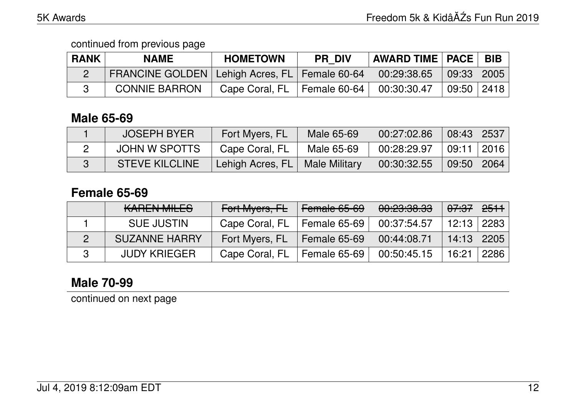| <b>RANK</b> | <b>NAME</b>                                       | <b>HOMETOWN</b> | <b>PR DIV</b> | <b>AWARD TIME   PACE</b> |              | <b>BIB</b> |
|-------------|---------------------------------------------------|-----------------|---------------|--------------------------|--------------|------------|
|             | FRANCINE GOLDEN   Lehigh Acres, FL   Female 60-64 |                 |               | 00:29:38.65              | 09:33   2005 |            |
|             | <b>CONNIE BARRON</b>                              | Cape Coral, FL  | Female 60-64  | 00:30:30.47              | $09:50$ 2418 |            |

## **Male 65-69**

| <b>JOSEPH BYER</b>    | Fort Myers, FL     | Male 65-69    | 00:27:02.86 | 08:43 2537         |  |
|-----------------------|--------------------|---------------|-------------|--------------------|--|
| JOHN W SPOTTS         | Cape Coral, FL     | Male 65-69    | 00:28:29.97 | $ 09:11 $ 2016 $ $ |  |
| <b>STEVE KILCLINE</b> | Lehigh Acres, $FL$ | Male Military | 00:30:32.55 | $09:50$ 2064       |  |

## **Female 65-69**

| <b>KAREN MILES</b>   | Fort Myers, FL | Female 65-69 | 00:23:38.33 | <del>07:37</del> I | <del>2511</del> |
|----------------------|----------------|--------------|-------------|--------------------|-----------------|
| <b>SUE JUSTIN</b>    | Cape Coral, FL | Female 65-69 | 00:37:54.57 |                    | $12:13$   2283  |
| <b>SUZANNE HARRY</b> | Fort Myers, FL | Female 65-69 | 00:44:08.71 | 14:13   2205       |                 |
| <b>JUDY KRIEGER</b>  | Cape Coral, FL | Female 65-69 | 00:50:45.15 | 16:21              | 2286            |

# **Male 70-99**